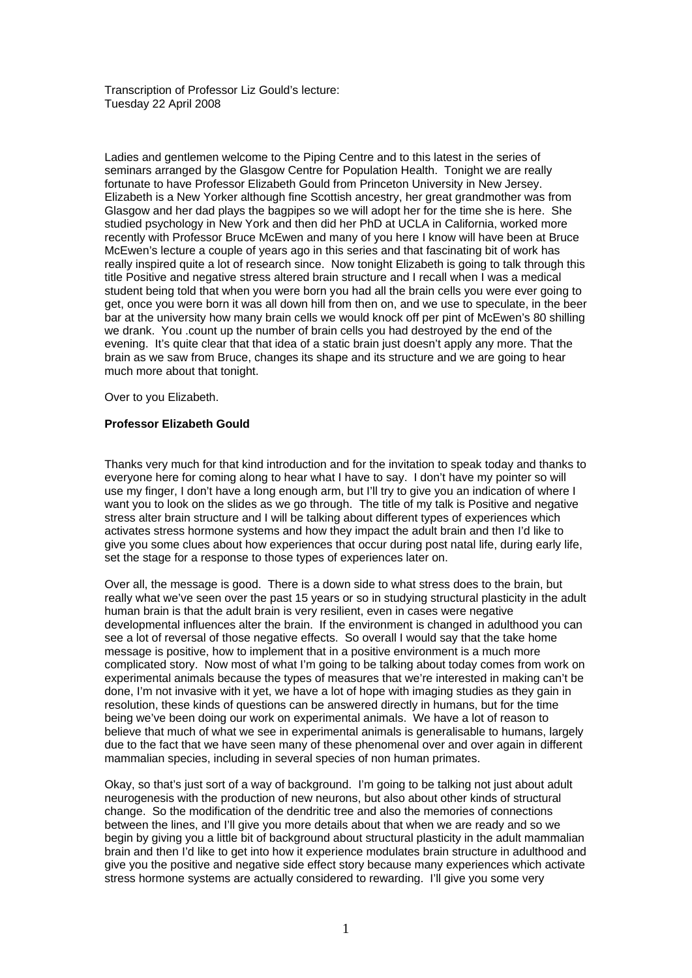Transcription of Professor Liz Gould's lecture: Tuesday 22 April 2008

Ladies and gentlemen welcome to the Piping Centre and to this latest in the series of seminars arranged by the Glasgow Centre for Population Health. Tonight we are really fortunate to have Professor Elizabeth Gould from Princeton University in New Jersey. Elizabeth is a New Yorker although fine Scottish ancestry, her great grandmother was from Glasgow and her dad plays the bagpipes so we will adopt her for the time she is here. She studied psychology in New York and then did her PhD at UCLA in California, worked more recently with Professor Bruce McEwen and many of you here I know will have been at Bruce McEwen's lecture a couple of years ago in this series and that fascinating bit of work has really inspired quite a lot of research since. Now tonight Elizabeth is going to talk through this title Positive and negative stress altered brain structure and I recall when I was a medical student being told that when you were born you had all the brain cells you were ever going to get, once you were born it was all down hill from then on, and we use to speculate, in the beer bar at the university how many brain cells we would knock off per pint of McEwen's 80 shilling we drank. You .count up the number of brain cells you had destroyed by the end of the evening. It's quite clear that that idea of a static brain just doesn't apply any more. That the brain as we saw from Bruce, changes its shape and its structure and we are going to hear much more about that tonight.

Over to you Elizabeth.

## **Professor Elizabeth Gould**

Thanks very much for that kind introduction and for the invitation to speak today and thanks to everyone here for coming along to hear what I have to say. I don't have my pointer so will use my finger, I don't have a long enough arm, but I'll try to give you an indication of where I want you to look on the slides as we go through. The title of my talk is Positive and negative stress alter brain structure and I will be talking about different types of experiences which activates stress hormone systems and how they impact the adult brain and then I'd like to give you some clues about how experiences that occur during post natal life, during early life, set the stage for a response to those types of experiences later on.

Over all, the message is good. There is a down side to what stress does to the brain, but really what we've seen over the past 15 years or so in studying structural plasticity in the adult human brain is that the adult brain is very resilient, even in cases were negative developmental influences alter the brain. If the environment is changed in adulthood you can see a lot of reversal of those negative effects. So overall I would say that the take home message is positive, how to implement that in a positive environment is a much more complicated story. Now most of what I'm going to be talking about today comes from work on experimental animals because the types of measures that we're interested in making can't be done, I'm not invasive with it yet, we have a lot of hope with imaging studies as they gain in resolution, these kinds of questions can be answered directly in humans, but for the time being we've been doing our work on experimental animals. We have a lot of reason to believe that much of what we see in experimental animals is generalisable to humans, largely due to the fact that we have seen many of these phenomenal over and over again in different mammalian species, including in several species of non human primates.

Okay, so that's just sort of a way of background. I'm going to be talking not just about adult neurogenesis with the production of new neurons, but also about other kinds of structural change. So the modification of the dendritic tree and also the memories of connections between the lines, and I'll give you more details about that when we are ready and so we begin by giving you a little bit of background about structural plasticity in the adult mammalian brain and then I'd like to get into how it experience modulates brain structure in adulthood and give you the positive and negative side effect story because many experiences which activate stress hormone systems are actually considered to rewarding. I'll give you some very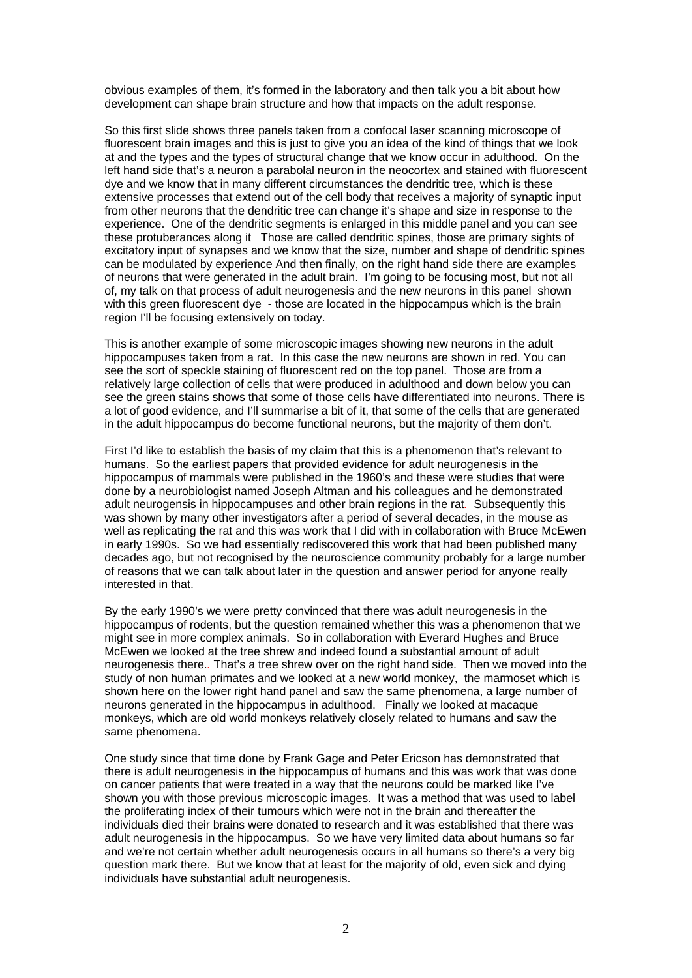obvious examples of them, it's formed in the laboratory and then talk you a bit about how development can shape brain structure and how that impacts on the adult response.

So this first slide shows three panels taken from a confocal laser scanning microscope of fluorescent brain images and this is just to give you an idea of the kind of things that we look at and the types and the types of structural change that we know occur in adulthood. On the left hand side that's a neuron a parabolal neuron in the neocortex and stained with fluorescent dye and we know that in many different circumstances the dendritic tree, which is these extensive processes that extend out of the cell body that receives a majority of synaptic input from other neurons that the dendritic tree can change it's shape and size in response to the experience. One of the dendritic segments is enlarged in this middle panel and you can see these protuberances along it Those are called dendritic spines, those are primary sights of excitatory input of synapses and we know that the size, number and shape of dendritic spines can be modulated by experience And then finally, on the right hand side there are examples of neurons that were generated in the adult brain. I'm going to be focusing most, but not all of, my talk on that process of adult neurogenesis and the new neurons in this panel shown with this green fluorescent dye - those are located in the hippocampus which is the brain region I'll be focusing extensively on today.

This is another example of some microscopic images showing new neurons in the adult hippocampuses taken from a rat. In this case the new neurons are shown in red. You can see the sort of speckle staining of fluorescent red on the top panel. Those are from a relatively large collection of cells that were produced in adulthood and down below you can see the green stains shows that some of those cells have differentiated into neurons. There is a lot of good evidence, and I'll summarise a bit of it, that some of the cells that are generated in the adult hippocampus do become functional neurons, but the majority of them don't.

First I'd like to establish the basis of my claim that this is a phenomenon that's relevant to humans. So the earliest papers that provided evidence for adult neurogenesis in the hippocampus of mammals were published in the 1960's and these were studies that were done by a neurobiologist named Joseph Altman and his colleagues and he demonstrated adult neurogensis in hippocampuses and other brain regions in the rat*.* Subsequently this was shown by many other investigators after a period of several decades, in the mouse as well as replicating the rat and this was work that I did with in collaboration with Bruce McEwen in early 1990s. So we had essentially rediscovered this work that had been published many decades ago, but not recognised by the neuroscience community probably for a large number of reasons that we can talk about later in the question and answer period for anyone really interested in that.

By the early 1990's we were pretty convinced that there was adult neurogenesis in the hippocampus of rodents, but the question remained whether this was a phenomenon that we might see in more complex animals. So in collaboration with Everard Hughes and Bruce McEwen we looked at the tree shrew and indeed found a substantial amount of adult neurogenesis there.*.* That's a tree shrew over on the right hand side. Then we moved into the study of non human primates and we looked at a new world monkey, the marmoset which is shown here on the lower right hand panel and saw the same phenomena, a large number of neurons generated in the hippocampus in adulthood. Finally we looked at macaque monkeys, which are old world monkeys relatively closely related to humans and saw the same phenomena.

One study since that time done by Frank Gage and Peter Ericson has demonstrated that there is adult neurogenesis in the hippocampus of humans and this was work that was done on cancer patients that were treated in a way that the neurons could be marked like I've shown you with those previous microscopic images. It was a method that was used to label the proliferating index of their tumours which were not in the brain and thereafter the individuals died their brains were donated to research and it was established that there was adult neurogenesis in the hippocampus. So we have very limited data about humans so far and we're not certain whether adult neurogenesis occurs in all humans so there's a very big question mark there. But we know that at least for the majority of old, even sick and dying individuals have substantial adult neurogenesis.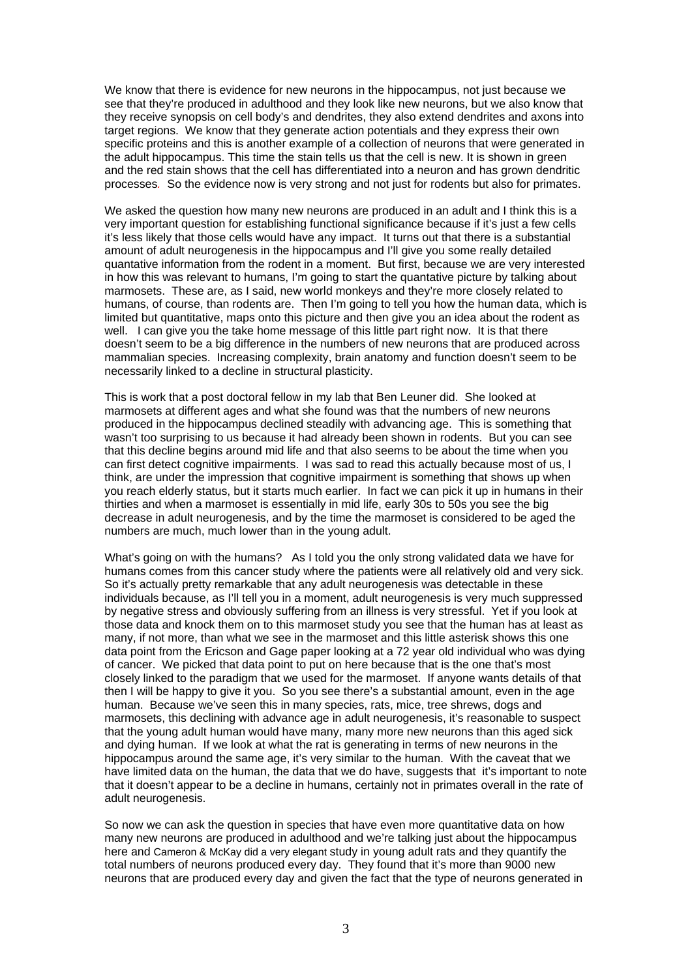We know that there is evidence for new neurons in the hippocampus, not just because we see that they're produced in adulthood and they look like new neurons, but we also know that they receive synopsis on cell body's and dendrites, they also extend dendrites and axons into target regions. We know that they generate action potentials and they express their own specific proteins and this is another example of a collection of neurons that were generated in the adult hippocampus. This time the stain tells us that the cell is new. It is shown in green and the red stain shows that the cell has differentiated into a neuron and has grown dendritic processes*.* So the evidence now is very strong and not just for rodents but also for primates.

We asked the question how many new neurons are produced in an adult and I think this is a very important question for establishing functional significance because if it's just a few cells it's less likely that those cells would have any impact. It turns out that there is a substantial amount of adult neurogenesis in the hippocampus and I'll give you some really detailed quantative information from the rodent in a moment. But first, because we are very interested in how this was relevant to humans, I'm going to start the quantative picture by talking about marmosets. These are, as I said, new world monkeys and they're more closely related to humans, of course, than rodents are. Then I'm going to tell you how the human data, which is limited but quantitative, maps onto this picture and then give you an idea about the rodent as well. I can give you the take home message of this little part right now. It is that there doesn't seem to be a big difference in the numbers of new neurons that are produced across mammalian species. Increasing complexity, brain anatomy and function doesn't seem to be necessarily linked to a decline in structural plasticity.

This is work that a post doctoral fellow in my lab that Ben Leuner did. She looked at marmosets at different ages and what she found was that the numbers of new neurons produced in the hippocampus declined steadily with advancing age. This is something that wasn't too surprising to us because it had already been shown in rodents. But you can see that this decline begins around mid life and that also seems to be about the time when you can first detect cognitive impairments. I was sad to read this actually because most of us, I think, are under the impression that cognitive impairment is something that shows up when you reach elderly status, but it starts much earlier. In fact we can pick it up in humans in their thirties and when a marmoset is essentially in mid life, early 30s to 50s you see the big decrease in adult neurogenesis, and by the time the marmoset is considered to be aged the numbers are much, much lower than in the young adult.

What's going on with the humans? As I told you the only strong validated data we have for humans comes from this cancer study where the patients were all relatively old and very sick. So it's actually pretty remarkable that any adult neurogenesis was detectable in these individuals because, as I'll tell you in a moment, adult neurogenesis is very much suppressed by negative stress and obviously suffering from an illness is very stressful. Yet if you look at those data and knock them on to this marmoset study you see that the human has at least as many, if not more, than what we see in the marmoset and this little asterisk shows this one data point from the Ericson and Gage paper looking at a 72 year old individual who was dying of cancer. We picked that data point to put on here because that is the one that's most closely linked to the paradigm that we used for the marmoset. If anyone wants details of that then I will be happy to give it you. So you see there's a substantial amount, even in the age human. Because we've seen this in many species, rats, mice, tree shrews, dogs and marmosets, this declining with advance age in adult neurogenesis, it's reasonable to suspect that the young adult human would have many, many more new neurons than this aged sick and dying human. If we look at what the rat is generating in terms of new neurons in the hippocampus around the same age, it's very similar to the human. With the caveat that we have limited data on the human, the data that we do have, suggests that it's important to note that it doesn't appear to be a decline in humans, certainly not in primates overall in the rate of adult neurogenesis.

So now we can ask the question in species that have even more quantitative data on how many new neurons are produced in adulthood and we're talking just about the hippocampus here and Cameron & McKay did a very elegant study in young adult rats and they quantify the total numbers of neurons produced every day. They found that it's more than 9000 new neurons that are produced every day and given the fact that the type of neurons generated in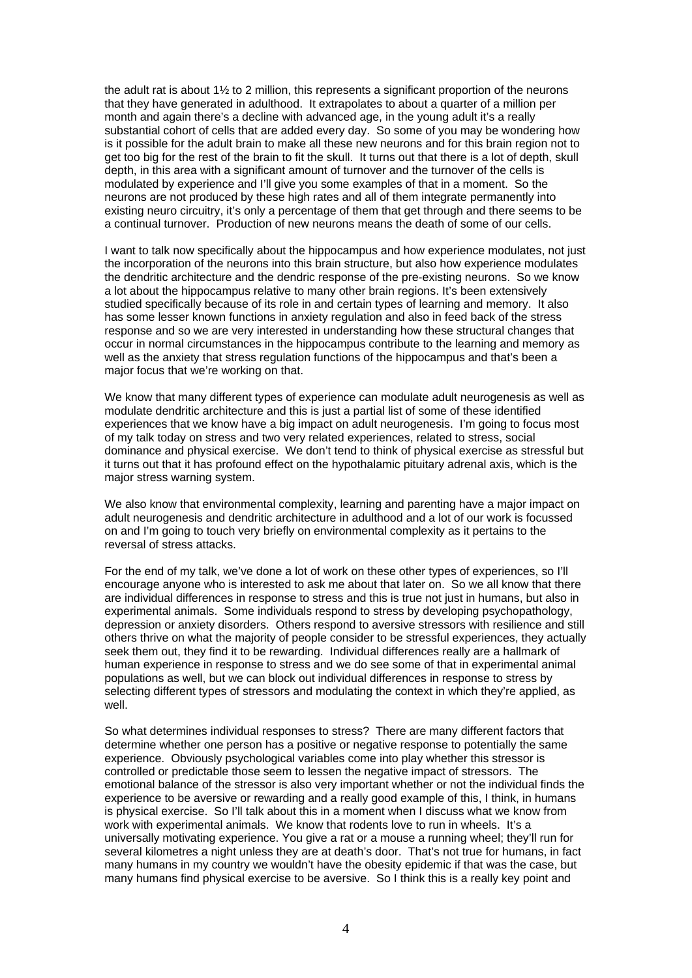the adult rat is about 1½ to 2 million, this represents a significant proportion of the neurons that they have generated in adulthood. It extrapolates to about a quarter of a million per month and again there's a decline with advanced age, in the young adult it's a really substantial cohort of cells that are added every day. So some of you may be wondering how is it possible for the adult brain to make all these new neurons and for this brain region not to get too big for the rest of the brain to fit the skull. It turns out that there is a lot of depth, skull depth, in this area with a significant amount of turnover and the turnover of the cells is modulated by experience and I'll give you some examples of that in a moment. So the neurons are not produced by these high rates and all of them integrate permanently into existing neuro circuitry, it's only a percentage of them that get through and there seems to be a continual turnover. Production of new neurons means the death of some of our cells.

I want to talk now specifically about the hippocampus and how experience modulates, not just the incorporation of the neurons into this brain structure, but also how experience modulates the dendritic architecture and the dendric response of the pre-existing neurons. So we know a lot about the hippocampus relative to many other brain regions. It's been extensively studied specifically because of its role in and certain types of learning and memory. It also has some lesser known functions in anxiety regulation and also in feed back of the stress response and so we are very interested in understanding how these structural changes that occur in normal circumstances in the hippocampus contribute to the learning and memory as well as the anxiety that stress regulation functions of the hippocampus and that's been a major focus that we're working on that.

We know that many different types of experience can modulate adult neurogenesis as well as modulate dendritic architecture and this is just a partial list of some of these identified experiences that we know have a big impact on adult neurogenesis. I'm going to focus most of my talk today on stress and two very related experiences, related to stress, social dominance and physical exercise. We don't tend to think of physical exercise as stressful but it turns out that it has profound effect on the hypothalamic pituitary adrenal axis, which is the major stress warning system.

We also know that environmental complexity, learning and parenting have a major impact on adult neurogenesis and dendritic architecture in adulthood and a lot of our work is focussed on and I'm going to touch very briefly on environmental complexity as it pertains to the reversal of stress attacks.

For the end of my talk, we've done a lot of work on these other types of experiences, so I'll encourage anyone who is interested to ask me about that later on. So we all know that there are individual differences in response to stress and this is true not just in humans, but also in experimental animals. Some individuals respond to stress by developing psychopathology, depression or anxiety disorders. Others respond to aversive stressors with resilience and still others thrive on what the majority of people consider to be stressful experiences, they actually seek them out, they find it to be rewarding. Individual differences really are a hallmark of human experience in response to stress and we do see some of that in experimental animal populations as well, but we can block out individual differences in response to stress by selecting different types of stressors and modulating the context in which they're applied, as well.

So what determines individual responses to stress? There are many different factors that determine whether one person has a positive or negative response to potentially the same experience. Obviously psychological variables come into play whether this stressor is controlled or predictable those seem to lessen the negative impact of stressors. The emotional balance of the stressor is also very important whether or not the individual finds the experience to be aversive or rewarding and a really good example of this, I think, in humans is physical exercise. So I'll talk about this in a moment when I discuss what we know from work with experimental animals. We know that rodents love to run in wheels. It's a universally motivating experience. You give a rat or a mouse a running wheel; they'll run for several kilometres a night unless they are at death's door. That's not true for humans, in fact many humans in my country we wouldn't have the obesity epidemic if that was the case, but many humans find physical exercise to be aversive. So I think this is a really key point and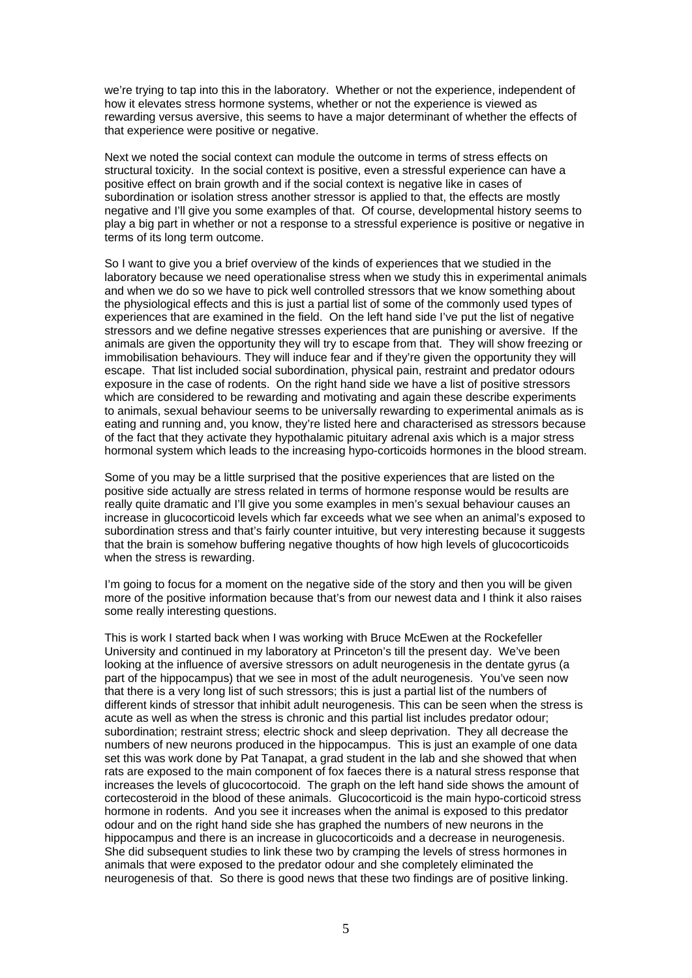we're trying to tap into this in the laboratory. Whether or not the experience, independent of how it elevates stress hormone systems, whether or not the experience is viewed as rewarding versus aversive, this seems to have a major determinant of whether the effects of that experience were positive or negative.

Next we noted the social context can module the outcome in terms of stress effects on structural toxicity. In the social context is positive, even a stressful experience can have a positive effect on brain growth and if the social context is negative like in cases of subordination or isolation stress another stressor is applied to that, the effects are mostly negative and I'll give you some examples of that. Of course, developmental history seems to play a big part in whether or not a response to a stressful experience is positive or negative in terms of its long term outcome.

So I want to give you a brief overview of the kinds of experiences that we studied in the laboratory because we need operationalise stress when we study this in experimental animals and when we do so we have to pick well controlled stressors that we know something about the physiological effects and this is just a partial list of some of the commonly used types of experiences that are examined in the field. On the left hand side I've put the list of negative stressors and we define negative stresses experiences that are punishing or aversive. If the animals are given the opportunity they will try to escape from that. They will show freezing or immobilisation behaviours. They will induce fear and if they're given the opportunity they will escape. That list included social subordination, physical pain, restraint and predator odours exposure in the case of rodents. On the right hand side we have a list of positive stressors which are considered to be rewarding and motivating and again these describe experiments to animals, sexual behaviour seems to be universally rewarding to experimental animals as is eating and running and, you know, they're listed here and characterised as stressors because of the fact that they activate they hypothalamic pituitary adrenal axis which is a major stress hormonal system which leads to the increasing hypo-corticoids hormones in the blood stream.

Some of you may be a little surprised that the positive experiences that are listed on the positive side actually are stress related in terms of hormone response would be results are really quite dramatic and I'll give you some examples in men's sexual behaviour causes an increase in glucocorticoid levels which far exceeds what we see when an animal's exposed to subordination stress and that's fairly counter intuitive, but very interesting because it suggests that the brain is somehow buffering negative thoughts of how high levels of glucocorticoids when the stress is rewarding.

I'm going to focus for a moment on the negative side of the story and then you will be given more of the positive information because that's from our newest data and I think it also raises some really interesting questions.

This is work I started back when I was working with Bruce McEwen at the Rockefeller University and continued in my laboratory at Princeton's till the present day. We've been looking at the influence of aversive stressors on adult neurogenesis in the dentate gyrus (a part of the hippocampus) that we see in most of the adult neurogenesis. You've seen now that there is a very long list of such stressors; this is just a partial list of the numbers of different kinds of stressor that inhibit adult neurogenesis. This can be seen when the stress is acute as well as when the stress is chronic and this partial list includes predator odour; subordination; restraint stress; electric shock and sleep deprivation. They all decrease the numbers of new neurons produced in the hippocampus. This is just an example of one data set this was work done by Pat Tanapat, a grad student in the lab and she showed that when rats are exposed to the main component of fox faeces there is a natural stress response that increases the levels of glucocortocoid. The graph on the left hand side shows the amount of cortecosteroid in the blood of these animals. Glucocorticoid is the main hypo-corticoid stress hormone in rodents. And you see it increases when the animal is exposed to this predator odour and on the right hand side she has graphed the numbers of new neurons in the hippocampus and there is an increase in glucocorticoids and a decrease in neurogenesis. She did subsequent studies to link these two by cramping the levels of stress hormones in animals that were exposed to the predator odour and she completely eliminated the neurogenesis of that. So there is good news that these two findings are of positive linking.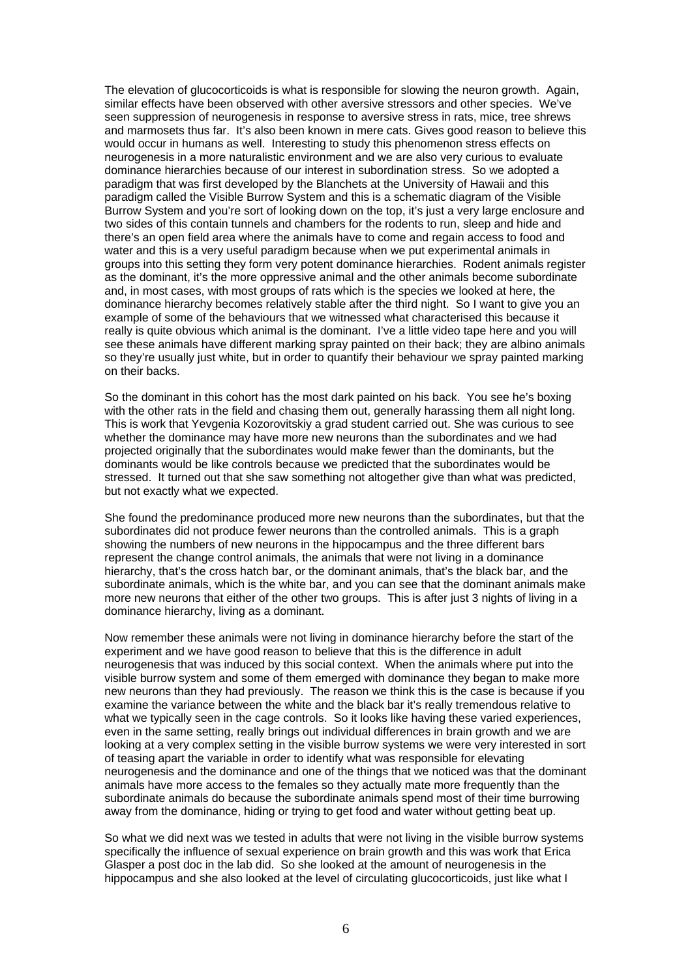The elevation of glucocorticoids is what is responsible for slowing the neuron growth. Again, similar effects have been observed with other aversive stressors and other species. We've seen suppression of neurogenesis in response to aversive stress in rats, mice, tree shrews and marmosets thus far. It's also been known in mere cats. Gives good reason to believe this would occur in humans as well. Interesting to study this phenomenon stress effects on neurogenesis in a more naturalistic environment and we are also very curious to evaluate dominance hierarchies because of our interest in subordination stress. So we adopted a paradigm that was first developed by the Blanchets at the University of Hawaii and this paradigm called the Visible Burrow System and this is a schematic diagram of the Visible Burrow System and you're sort of looking down on the top, it's just a very large enclosure and two sides of this contain tunnels and chambers for the rodents to run, sleep and hide and there's an open field area where the animals have to come and regain access to food and water and this is a very useful paradigm because when we put experimental animals in groups into this setting they form very potent dominance hierarchies. Rodent animals register as the dominant, it's the more oppressive animal and the other animals become subordinate and, in most cases, with most groups of rats which is the species we looked at here, the dominance hierarchy becomes relatively stable after the third night. So I want to give you an example of some of the behaviours that we witnessed what characterised this because it really is quite obvious which animal is the dominant. I've a little video tape here and you will see these animals have different marking spray painted on their back; they are albino animals so they're usually just white, but in order to quantify their behaviour we spray painted marking on their backs.

So the dominant in this cohort has the most dark painted on his back. You see he's boxing with the other rats in the field and chasing them out, generally harassing them all night long. This is work that Yevgenia Kozorovitskiy a grad student carried out. She was curious to see whether the dominance may have more new neurons than the subordinates and we had projected originally that the subordinates would make fewer than the dominants, but the dominants would be like controls because we predicted that the subordinates would be stressed. It turned out that she saw something not altogether give than what was predicted, but not exactly what we expected.

She found the predominance produced more new neurons than the subordinates, but that the subordinates did not produce fewer neurons than the controlled animals. This is a graph showing the numbers of new neurons in the hippocampus and the three different bars represent the change control animals, the animals that were not living in a dominance hierarchy, that's the cross hatch bar, or the dominant animals, that's the black bar, and the subordinate animals, which is the white bar, and you can see that the dominant animals make more new neurons that either of the other two groups. This is after just 3 nights of living in a dominance hierarchy, living as a dominant.

Now remember these animals were not living in dominance hierarchy before the start of the experiment and we have good reason to believe that this is the difference in adult neurogenesis that was induced by this social context. When the animals where put into the visible burrow system and some of them emerged with dominance they began to make more new neurons than they had previously. The reason we think this is the case is because if you examine the variance between the white and the black bar it's really tremendous relative to what we typically seen in the cage controls. So it looks like having these varied experiences, even in the same setting, really brings out individual differences in brain growth and we are looking at a very complex setting in the visible burrow systems we were very interested in sort of teasing apart the variable in order to identify what was responsible for elevating neurogenesis and the dominance and one of the things that we noticed was that the dominant animals have more access to the females so they actually mate more frequently than the subordinate animals do because the subordinate animals spend most of their time burrowing away from the dominance, hiding or trying to get food and water without getting beat up.

So what we did next was we tested in adults that were not living in the visible burrow systems specifically the influence of sexual experience on brain growth and this was work that Erica Glasper a post doc in the lab did. So she looked at the amount of neurogenesis in the hippocampus and she also looked at the level of circulating glucocorticoids, just like what I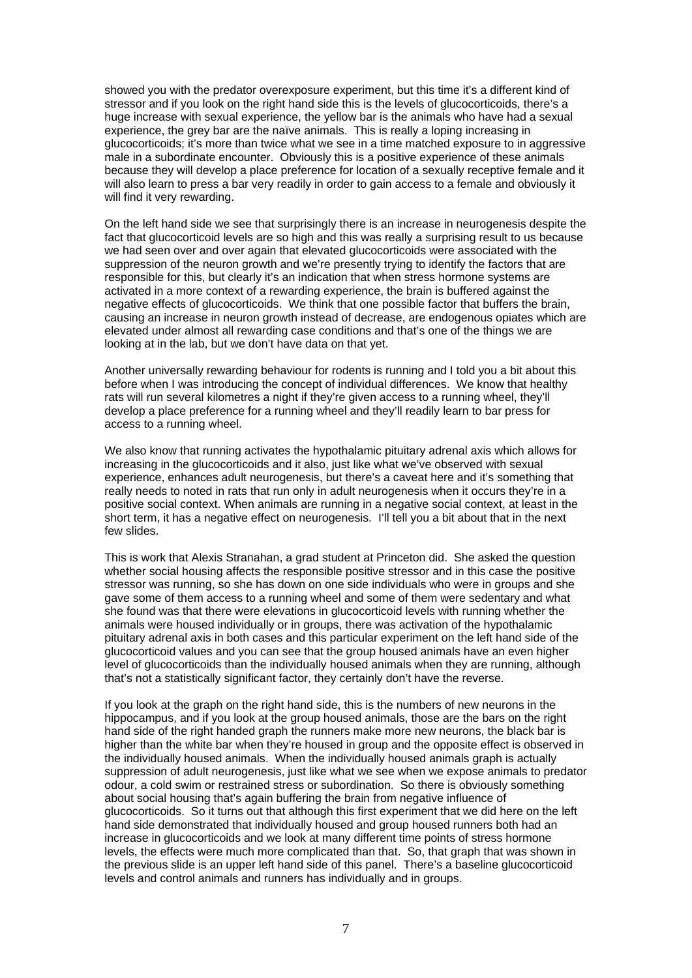showed you with the predator overexposure experiment, but this time it's a different kind of stressor and if you look on the right hand side this is the levels of glucocorticoids, there's a huge increase with sexual experience, the yellow bar is the animals who have had a sexual experience, the grey bar are the naïve animals. This is really a loping increasing in glucocorticoids; it's more than twice what we see in a time matched exposure to in aggressive male in a subordinate encounter. Obviously this is a positive experience of these animals because they will develop a place preference for location of a sexually receptive female and it will also learn to press a bar very readily in order to gain access to a female and obviously it will find it very rewarding.

On the left hand side we see that surprisingly there is an increase in neurogenesis despite the fact that glucocorticoid levels are so high and this was really a surprising result to us because we had seen over and over again that elevated glucocorticoids were associated with the suppression of the neuron growth and we're presently trying to identify the factors that are responsible for this, but clearly it's an indication that when stress hormone systems are activated in a more context of a rewarding experience, the brain is buffered against the negative effects of glucocorticoids. We think that one possible factor that buffers the brain, causing an increase in neuron growth instead of decrease, are endogenous opiates which are elevated under almost all rewarding case conditions and that's one of the things we are looking at in the lab, but we don't have data on that yet.

Another universally rewarding behaviour for rodents is running and I told you a bit about this before when I was introducing the concept of individual differences. We know that healthy rats will run several kilometres a night if they're given access to a running wheel, they'll develop a place preference for a running wheel and they'll readily learn to bar press for access to a running wheel.

We also know that running activates the hypothalamic pituitary adrenal axis which allows for increasing in the glucocorticoids and it also, just like what we've observed with sexual experience, enhances adult neurogenesis, but there's a caveat here and it's something that really needs to noted in rats that run only in adult neurogenesis when it occurs they're in a positive social context. When animals are running in a negative social context, at least in the short term, it has a negative effect on neurogenesis. I'll tell you a bit about that in the next few slides.

This is work that Alexis Stranahan, a grad student at Princeton did. She asked the question whether social housing affects the responsible positive stressor and in this case the positive stressor was running, so she has down on one side individuals who were in groups and she gave some of them access to a running wheel and some of them were sedentary and what she found was that there were elevations in glucocorticoid levels with running whether the animals were housed individually or in groups, there was activation of the hypothalamic pituitary adrenal axis in both cases and this particular experiment on the left hand side of the glucocorticoid values and you can see that the group housed animals have an even higher level of glucocorticoids than the individually housed animals when they are running, although that's not a statistically significant factor, they certainly don't have the reverse.

If you look at the graph on the right hand side, this is the numbers of new neurons in the hippocampus, and if you look at the group housed animals, those are the bars on the right hand side of the right handed graph the runners make more new neurons, the black bar is higher than the white bar when they're housed in group and the opposite effect is observed in the individually housed animals. When the individually housed animals graph is actually suppression of adult neurogenesis, just like what we see when we expose animals to predator odour, a cold swim or restrained stress or subordination. So there is obviously something about social housing that's again buffering the brain from negative influence of glucocorticoids. So it turns out that although this first experiment that we did here on the left hand side demonstrated that individually housed and group housed runners both had an increase in glucocorticoids and we look at many different time points of stress hormone levels, the effects were much more complicated than that. So, that graph that was shown in the previous slide is an upper left hand side of this panel. There's a baseline glucocorticoid levels and control animals and runners has individually and in groups.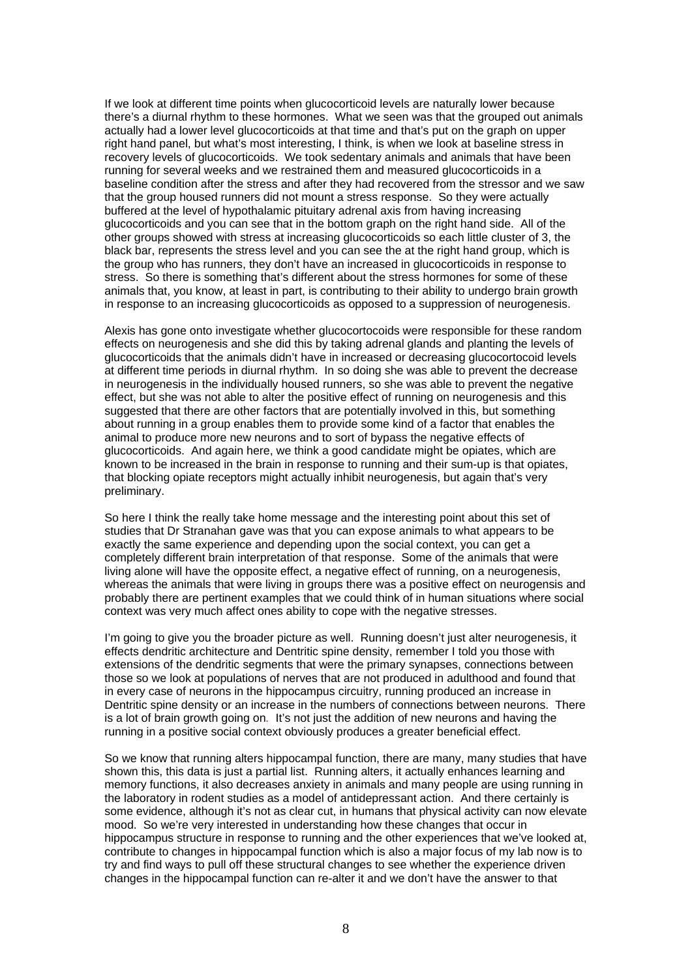If we look at different time points when glucocorticoid levels are naturally lower because there's a diurnal rhythm to these hormones. What we seen was that the grouped out animals actually had a lower level glucocorticoids at that time and that's put on the graph on upper right hand panel, but what's most interesting, I think, is when we look at baseline stress in recovery levels of glucocorticoids. We took sedentary animals and animals that have been running for several weeks and we restrained them and measured glucocorticoids in a baseline condition after the stress and after they had recovered from the stressor and we saw that the group housed runners did not mount a stress response. So they were actually buffered at the level of hypothalamic pituitary adrenal axis from having increasing glucocorticoids and you can see that in the bottom graph on the right hand side. All of the other groups showed with stress at increasing glucocorticoids so each little cluster of 3, the black bar, represents the stress level and you can see the at the right hand group, which is the group who has runners, they don't have an increased in glucocorticoids in response to stress. So there is something that's different about the stress hormones for some of these animals that, you know, at least in part, is contributing to their ability to undergo brain growth in response to an increasing glucocorticoids as opposed to a suppression of neurogenesis.

Alexis has gone onto investigate whether glucocortocoids were responsible for these random effects on neurogenesis and she did this by taking adrenal glands and planting the levels of glucocorticoids that the animals didn't have in increased or decreasing glucocortocoid levels at different time periods in diurnal rhythm. In so doing she was able to prevent the decrease in neurogenesis in the individually housed runners, so she was able to prevent the negative effect, but she was not able to alter the positive effect of running on neurogenesis and this suggested that there are other factors that are potentially involved in this, but something about running in a group enables them to provide some kind of a factor that enables the animal to produce more new neurons and to sort of bypass the negative effects of glucocorticoids. And again here, we think a good candidate might be opiates, which are known to be increased in the brain in response to running and their sum-up is that opiates, that blocking opiate receptors might actually inhibit neurogenesis, but again that's very preliminary.

So here I think the really take home message and the interesting point about this set of studies that Dr Stranahan gave was that you can expose animals to what appears to be exactly the same experience and depending upon the social context, you can get a completely different brain interpretation of that response. Some of the animals that were living alone will have the opposite effect, a negative effect of running, on a neurogenesis, whereas the animals that were living in groups there was a positive effect on neurogensis and probably there are pertinent examples that we could think of in human situations where social context was very much affect ones ability to cope with the negative stresses.

I'm going to give you the broader picture as well. Running doesn't just alter neurogenesis, it effects dendritic architecture and Dentritic spine density, remember I told you those with extensions of the dendritic segments that were the primary synapses, connections between those so we look at populations of nerves that are not produced in adulthood and found that in every case of neurons in the hippocampus circuitry, running produced an increase in Dentritic spine density or an increase in the numbers of connections between neurons. There is a lot of brain growth going on*.* It's not just the addition of new neurons and having the running in a positive social context obviously produces a greater beneficial effect.

So we know that running alters hippocampal function, there are many, many studies that have shown this, this data is just a partial list. Running alters, it actually enhances learning and memory functions, it also decreases anxiety in animals and many people are using running in the laboratory in rodent studies as a model of antidepressant action. And there certainly is some evidence, although it's not as clear cut, in humans that physical activity can now elevate mood. So we're very interested in understanding how these changes that occur in hippocampus structure in response to running and the other experiences that we've looked at, contribute to changes in hippocampal function which is also a major focus of my lab now is to try and find ways to pull off these structural changes to see whether the experience driven changes in the hippocampal function can re-alter it and we don't have the answer to that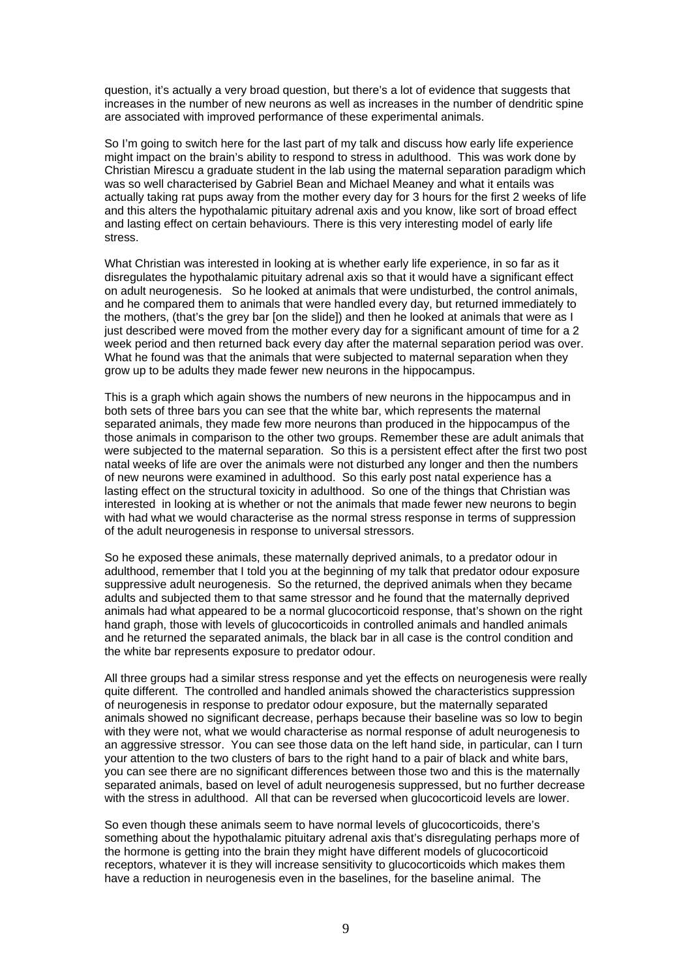question, it's actually a very broad question, but there's a lot of evidence that suggests that increases in the number of new neurons as well as increases in the number of dendritic spine are associated with improved performance of these experimental animals.

So I'm going to switch here for the last part of my talk and discuss how early life experience might impact on the brain's ability to respond to stress in adulthood. This was work done by Christian Mirescu a graduate student in the lab using the maternal separation paradigm which was so well characterised by Gabriel Bean and Michael Meaney and what it entails was actually taking rat pups away from the mother every day for 3 hours for the first 2 weeks of life and this alters the hypothalamic pituitary adrenal axis and you know, like sort of broad effect and lasting effect on certain behaviours. There is this very interesting model of early life stress.

What Christian was interested in looking at is whether early life experience, in so far as it disregulates the hypothalamic pituitary adrenal axis so that it would have a significant effect on adult neurogenesis. So he looked at animals that were undisturbed, the control animals, and he compared them to animals that were handled every day, but returned immediately to the mothers, (that's the grey bar [on the slide]) and then he looked at animals that were as I just described were moved from the mother every day for a significant amount of time for a 2 week period and then returned back every day after the maternal separation period was over. What he found was that the animals that were subjected to maternal separation when they grow up to be adults they made fewer new neurons in the hippocampus.

This is a graph which again shows the numbers of new neurons in the hippocampus and in both sets of three bars you can see that the white bar, which represents the maternal separated animals, they made few more neurons than produced in the hippocampus of the those animals in comparison to the other two groups. Remember these are adult animals that were subjected to the maternal separation. So this is a persistent effect after the first two post natal weeks of life are over the animals were not disturbed any longer and then the numbers of new neurons were examined in adulthood. So this early post natal experience has a lasting effect on the structural toxicity in adulthood. So one of the things that Christian was interested in looking at is whether or not the animals that made fewer new neurons to begin with had what we would characterise as the normal stress response in terms of suppression of the adult neurogenesis in response to universal stressors.

So he exposed these animals, these maternally deprived animals, to a predator odour in adulthood, remember that I told you at the beginning of my talk that predator odour exposure suppressive adult neurogenesis. So the returned, the deprived animals when they became adults and subjected them to that same stressor and he found that the maternally deprived animals had what appeared to be a normal glucocorticoid response, that's shown on the right hand graph, those with levels of glucocorticoids in controlled animals and handled animals and he returned the separated animals, the black bar in all case is the control condition and the white bar represents exposure to predator odour.

All three groups had a similar stress response and yet the effects on neurogenesis were really quite different. The controlled and handled animals showed the characteristics suppression of neurogenesis in response to predator odour exposure, but the maternally separated animals showed no significant decrease, perhaps because their baseline was so low to begin with they were not, what we would characterise as normal response of adult neurogenesis to an aggressive stressor. You can see those data on the left hand side, in particular, can I turn your attention to the two clusters of bars to the right hand to a pair of black and white bars, you can see there are no significant differences between those two and this is the maternally separated animals, based on level of adult neurogenesis suppressed, but no further decrease with the stress in adulthood. All that can be reversed when glucocorticoid levels are lower.

So even though these animals seem to have normal levels of glucocorticoids, there's something about the hypothalamic pituitary adrenal axis that's disregulating perhaps more of the hormone is getting into the brain they might have different models of glucocorticoid receptors, whatever it is they will increase sensitivity to glucocorticoids which makes them have a reduction in neurogenesis even in the baselines, for the baseline animal. The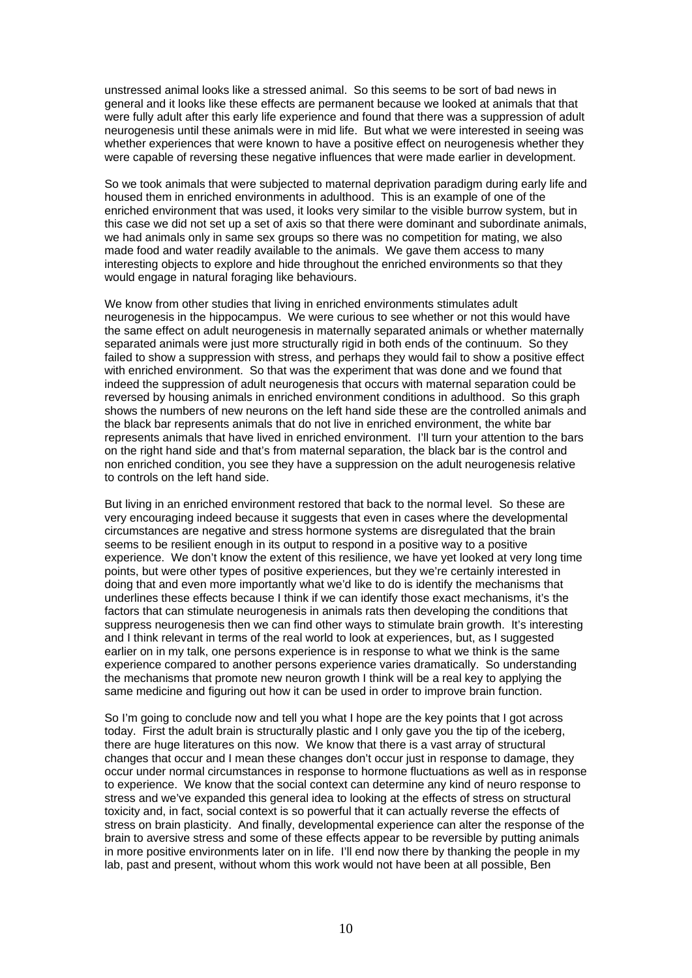unstressed animal looks like a stressed animal. So this seems to be sort of bad news in general and it looks like these effects are permanent because we looked at animals that that were fully adult after this early life experience and found that there was a suppression of adult neurogenesis until these animals were in mid life. But what we were interested in seeing was whether experiences that were known to have a positive effect on neurogenesis whether they were capable of reversing these negative influences that were made earlier in development.

So we took animals that were subjected to maternal deprivation paradigm during early life and housed them in enriched environments in adulthood. This is an example of one of the enriched environment that was used, it looks very similar to the visible burrow system, but in this case we did not set up a set of axis so that there were dominant and subordinate animals, we had animals only in same sex groups so there was no competition for mating, we also made food and water readily available to the animals. We gave them access to many interesting objects to explore and hide throughout the enriched environments so that they would engage in natural foraging like behaviours.

We know from other studies that living in enriched environments stimulates adult neurogenesis in the hippocampus. We were curious to see whether or not this would have the same effect on adult neurogenesis in maternally separated animals or whether maternally separated animals were just more structurally rigid in both ends of the continuum. So they failed to show a suppression with stress, and perhaps they would fail to show a positive effect with enriched environment. So that was the experiment that was done and we found that indeed the suppression of adult neurogenesis that occurs with maternal separation could be reversed by housing animals in enriched environment conditions in adulthood. So this graph shows the numbers of new neurons on the left hand side these are the controlled animals and the black bar represents animals that do not live in enriched environment, the white bar represents animals that have lived in enriched environment. I'll turn your attention to the bars on the right hand side and that's from maternal separation, the black bar is the control and non enriched condition, you see they have a suppression on the adult neurogenesis relative to controls on the left hand side.

But living in an enriched environment restored that back to the normal level. So these are very encouraging indeed because it suggests that even in cases where the developmental circumstances are negative and stress hormone systems are disregulated that the brain seems to be resilient enough in its output to respond in a positive way to a positive experience. We don't know the extent of this resilience, we have yet looked at very long time points, but were other types of positive experiences, but they we're certainly interested in doing that and even more importantly what we'd like to do is identify the mechanisms that underlines these effects because I think if we can identify those exact mechanisms, it's the factors that can stimulate neurogenesis in animals rats then developing the conditions that suppress neurogenesis then we can find other ways to stimulate brain growth. It's interesting and I think relevant in terms of the real world to look at experiences, but, as I suggested earlier on in my talk, one persons experience is in response to what we think is the same experience compared to another persons experience varies dramatically. So understanding the mechanisms that promote new neuron growth I think will be a real key to applying the same medicine and figuring out how it can be used in order to improve brain function.

So I'm going to conclude now and tell you what I hope are the key points that I got across today. First the adult brain is structurally plastic and I only gave you the tip of the iceberg, there are huge literatures on this now. We know that there is a vast array of structural changes that occur and I mean these changes don't occur just in response to damage, they occur under normal circumstances in response to hormone fluctuations as well as in response to experience. We know that the social context can determine any kind of neuro response to stress and we've expanded this general idea to looking at the effects of stress on structural toxicity and, in fact, social context is so powerful that it can actually reverse the effects of stress on brain plasticity. And finally, developmental experience can alter the response of the brain to aversive stress and some of these effects appear to be reversible by putting animals in more positive environments later on in life. I'll end now there by thanking the people in my lab, past and present, without whom this work would not have been at all possible, Ben